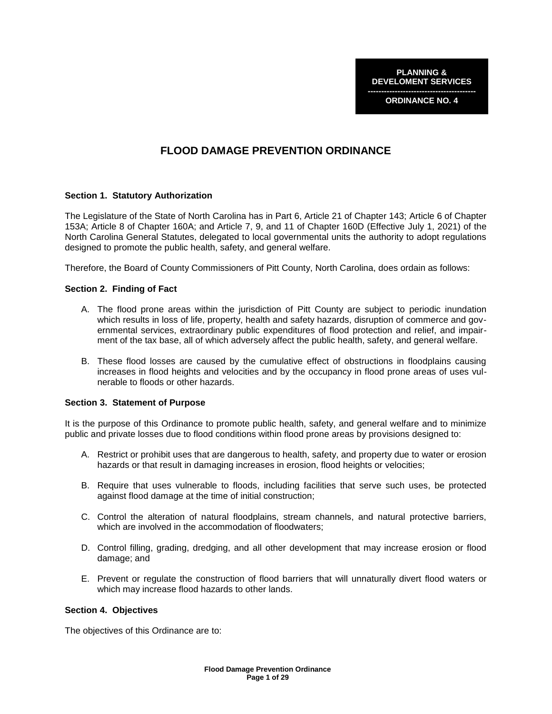**PLANNING & DEVELOMENT SERVICES**

**---------------------------------------- ORDINANCE NO. 4**

# **FLOOD DAMAGE PREVENTION ORDINANCE**

#### **Section 1. Statutory Authorization**

The Legislature of the State of North Carolina has in Part 6, Article 21 of Chapter 143; Article 6 of Chapter 153A; Article 8 of Chapter 160A; and Article 7, 9, and 11 of Chapter 160D (Effective July 1, 2021) of the North Carolina General Statutes, delegated to local governmental units the authority to adopt regulations designed to promote the public health, safety, and general welfare.

Therefore, the Board of County Commissioners of Pitt County, North Carolina, does ordain as follows:

#### **Section 2. Finding of Fact**

- A. The flood prone areas within the jurisdiction of Pitt County are subject to periodic inundation which results in loss of life, property, health and safety hazards, disruption of commerce and governmental services, extraordinary public expenditures of flood protection and relief, and impairment of the tax base, all of which adversely affect the public health, safety, and general welfare.
- B. These flood losses are caused by the cumulative effect of obstructions in floodplains causing increases in flood heights and velocities and by the occupancy in flood prone areas of uses vulnerable to floods or other hazards.

#### **Section 3. Statement of Purpose**

It is the purpose of this Ordinance to promote public health, safety, and general welfare and to minimize public and private losses due to flood conditions within flood prone areas by provisions designed to:

- A. Restrict or prohibit uses that are dangerous to health, safety, and property due to water or erosion hazards or that result in damaging increases in erosion, flood heights or velocities;
- B. Require that uses vulnerable to floods, including facilities that serve such uses, be protected against flood damage at the time of initial construction;
- C. Control the alteration of natural floodplains, stream channels, and natural protective barriers, which are involved in the accommodation of floodwaters;
- D. Control filling, grading, dredging, and all other development that may increase erosion or flood damage; and
- E. Prevent or regulate the construction of flood barriers that will unnaturally divert flood waters or which may increase flood hazards to other lands.

#### **Section 4. Objectives**

The objectives of this Ordinance are to: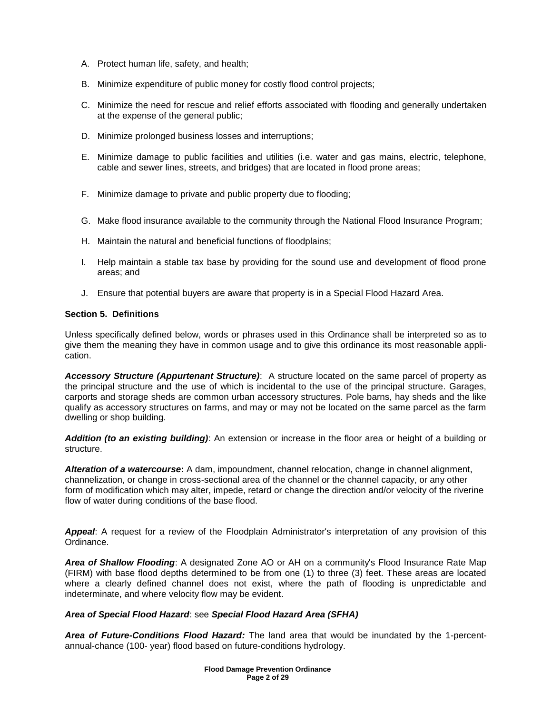- A. Protect human life, safety, and health;
- B. Minimize expenditure of public money for costly flood control projects;
- C. Minimize the need for rescue and relief efforts associated with flooding and generally undertaken at the expense of the general public;
- D. Minimize prolonged business losses and interruptions;
- E. Minimize damage to public facilities and utilities (i.e. water and gas mains, electric, telephone, cable and sewer lines, streets, and bridges) that are located in flood prone areas;
- F. Minimize damage to private and public property due to flooding;
- G. Make flood insurance available to the community through the National Flood Insurance Program;
- H. Maintain the natural and beneficial functions of floodplains;
- I. Help maintain a stable tax base by providing for the sound use and development of flood prone areas; and
- J. Ensure that potential buyers are aware that property is in a Special Flood Hazard Area.

# **Section 5. Definitions**

Unless specifically defined below, words or phrases used in this Ordinance shall be interpreted so as to give them the meaning they have in common usage and to give this ordinance its most reasonable application.

*Accessory Structure (Appurtenant Structure)*: A structure located on the same parcel of property as the principal structure and the use of which is incidental to the use of the principal structure. Garages, carports and storage sheds are common urban accessory structures. Pole barns, hay sheds and the like qualify as accessory structures on farms, and may or may not be located on the same parcel as the farm dwelling or shop building.

*Addition (to an existing building)*: An extension or increase in the floor area or height of a building or structure.

*Alteration of a watercourse***:** A dam, impoundment, channel relocation, change in channel alignment, channelization, or change in cross-sectional area of the channel or the channel capacity, or any other form of modification which may alter, impede, retard or change the direction and/or velocity of the riverine flow of water during conditions of the base flood.

*Appeal*: A request for a review of the Floodplain Administrator's interpretation of any provision of this Ordinance.

*Area of Shallow Flooding*: A designated Zone AO or AH on a community's Flood Insurance Rate Map (FIRM) with base flood depths determined to be from one (1) to three (3) feet. These areas are located where a clearly defined channel does not exist, where the path of flooding is unpredictable and indeterminate, and where velocity flow may be evident.

# *Area of Special Flood Hazard*: see *Special Flood Hazard Area (SFHA)*

*Area of Future-Conditions Flood Hazard:* The land area that would be inundated by the 1-percentannual-chance (100- year) flood based on future-conditions hydrology.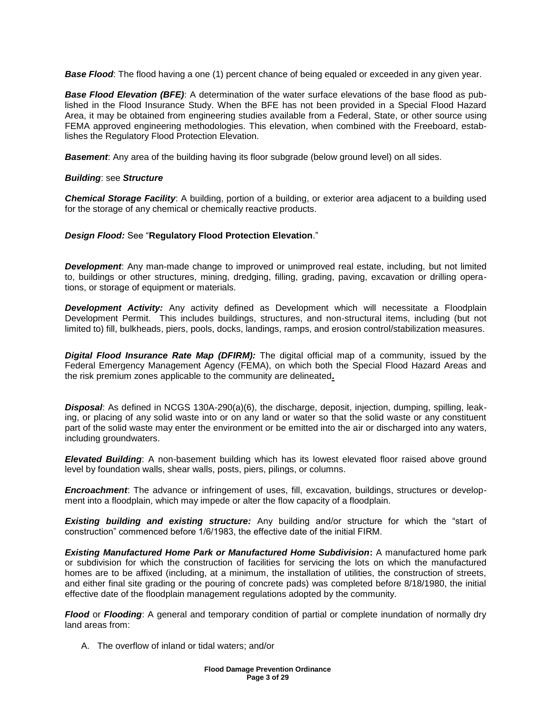**Base Flood:** The flood having a one (1) percent chance of being equaled or exceeded in any given year.

**Base Flood Elevation (BFE):** A determination of the water surface elevations of the base flood as published in the Flood Insurance Study. When the BFE has not been provided in a Special Flood Hazard Area, it may be obtained from engineering studies available from a Federal, State, or other source using FEMA approved engineering methodologies. This elevation, when combined with the Freeboard, establishes the Regulatory Flood Protection Elevation.

**Basement**: Any area of the building having its floor subgrade (below ground level) on all sides.

#### *Building*: see *Structure*

*Chemical Storage Facility*: A building, portion of a building, or exterior area adjacent to a building used for the storage of any chemical or chemically reactive products.

# *Design Flood:* See "**Regulatory Flood Protection Elevation**."

**Development**: Any man-made change to improved or unimproved real estate, including, but not limited to, buildings or other structures, mining, dredging, filling, grading, paving, excavation or drilling operations, or storage of equipment or materials.

**Development Activity:** Any activity defined as Development which will necessitate a Floodplain Development Permit. This includes buildings, structures, and non-structural items, including (but not limited to) fill, bulkheads, piers, pools, docks, landings, ramps, and erosion control/stabilization measures.

*Digital Flood Insurance Rate Map (DFIRM):* The digital official map of a community, issued by the Federal Emergency Management Agency (FEMA), on which both the Special Flood Hazard Areas and the risk premium zones applicable to the community are delineated**.**

*Disposal*: As defined in NCGS 130A-290(a)(6), the discharge, deposit, injection, dumping, spilling, leaking, or placing of any solid waste into or on any land or water so that the solid waste or any constituent part of the solid waste may enter the environment or be emitted into the air or discharged into any waters, including groundwaters.

*Elevated Building*: A non-basement building which has its lowest elevated floor raised above ground level by foundation walls, shear walls, posts, piers, pilings, or columns.

*Encroachment*: The advance or infringement of uses, fill, excavation, buildings, structures or development into a floodplain, which may impede or alter the flow capacity of a floodplain.

*Existing building and existing structure:* Any building and/or structure for which the "start of construction" commenced before 1/6/1983, the effective date of the initial FIRM.

*Existing Manufactured Home Park or Manufactured Home Subdivision***:** A manufactured home park or subdivision for which the construction of facilities for servicing the lots on which the manufactured homes are to be affixed (including, at a minimum, the installation of utilities, the construction of streets, and either final site grading or the pouring of concrete pads) was completed before 8/18/1980, the initial effective date of the floodplain management regulations adopted by the community.

*Flood* or *Flooding*: A general and temporary condition of partial or complete inundation of normally dry land areas from:

A. The overflow of inland or tidal waters; and/or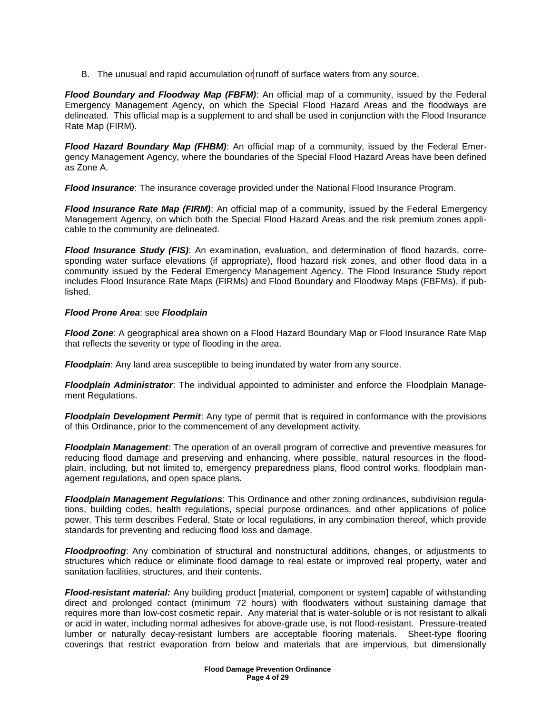B. The unusual and rapid accumulation or runoff of surface waters from any source.

*Flood Boundary and Floodway Map (FBFM)*: An official map of a community, issued by the Federal Emergency Management Agency, on which the Special Flood Hazard Areas and the floodways are delineated. This official map is a supplement to and shall be used in conjunction with the Flood Insurance Rate Map (FIRM).

*Flood Hazard Boundary Map (FHBM)*: An official map of a community, issued by the Federal Emergency Management Agency, where the boundaries of the Special Flood Hazard Areas have been defined as Zone A.

*Flood Insurance*: The insurance coverage provided under the National Flood Insurance Program.

*Flood Insurance Rate Map (FIRM)*: An official map of a community, issued by the Federal Emergency Management Agency, on which both the Special Flood Hazard Areas and the risk premium zones applicable to the community are delineated.

*Flood Insurance Study (FIS)*: An examination, evaluation, and determination of flood hazards, corresponding water surface elevations (if appropriate), flood hazard risk zones, and other flood data in a community issued by the Federal Emergency Management Agency. The Flood Insurance Study report includes Flood Insurance Rate Maps (FIRMs) and Flood Boundary and Floodway Maps (FBFMs), if published.

# *Flood Prone Area*: see *Floodplain*

*Flood Zone*: A geographical area shown on a Flood Hazard Boundary Map or Flood Insurance Rate Map that reflects the severity or type of flooding in the area.

*Floodplain*: Any land area susceptible to being inundated by water from any source.

*Floodplain Administrator*: The individual appointed to administer and enforce the Floodplain Management Regulations.

*Floodplain Development Permit*: Any type of permit that is required in conformance with the provisions of this Ordinance, prior to the commencement of any development activity.

*Floodplain Management*: The operation of an overall program of corrective and preventive measures for reducing flood damage and preserving and enhancing, where possible, natural resources in the floodplain, including, but not limited to, emergency preparedness plans, flood control works, floodplain management regulations, and open space plans.

*Floodplain Management Regulations*: This Ordinance and other zoning ordinances, subdivision regulations, building codes, health regulations, special purpose ordinances, and other applications of police power. This term describes Federal, State or local regulations, in any combination thereof, which provide standards for preventing and reducing flood loss and damage.

*Floodproofing*: Any combination of structural and nonstructural additions, changes, or adjustments to structures which reduce or eliminate flood damage to real estate or improved real property, water and sanitation facilities, structures, and their contents.

*Flood-resistant material:* Any building product [material, component or system] capable of withstanding direct and prolonged contact (minimum 72 hours) with floodwaters without sustaining damage that requires more than low-cost cosmetic repair. Any material that is water-soluble or is not resistant to alkali or acid in water, including normal adhesives for above-grade use, is not flood-resistant. Pressure-treated lumber or naturally decay-resistant lumbers are acceptable flooring materials. Sheet-type flooring coverings that restrict evaporation from below and materials that are impervious, but dimensionally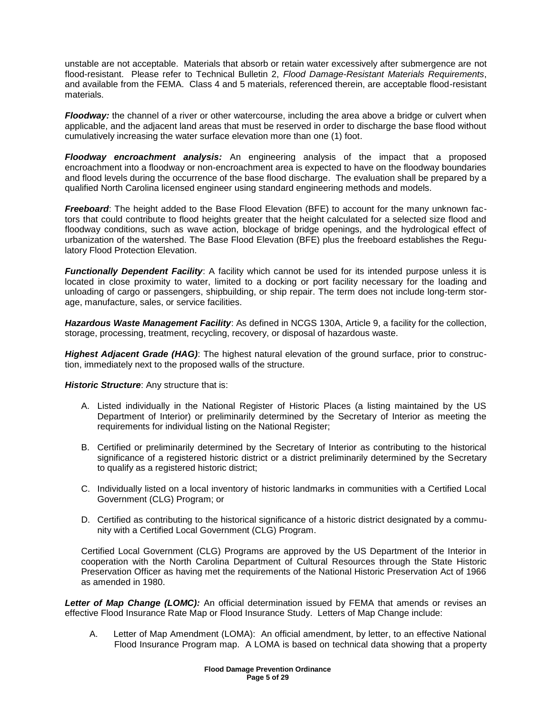unstable are not acceptable. Materials that absorb or retain water excessively after submergence are not flood-resistant. Please refer to Technical Bulletin 2, *Flood Damage-Resistant Materials Requirements*, and available from the FEMA. Class 4 and 5 materials, referenced therein, are acceptable flood-resistant materials.

*Floodway:* the channel of a river or other watercourse, including the area above a bridge or culvert when applicable, and the adjacent land areas that must be reserved in order to discharge the base flood without cumulatively increasing the water surface elevation more than one (1) foot.

*Floodway encroachment analysis:* An engineering analysis of the impact that a proposed encroachment into a floodway or non-encroachment area is expected to have on the floodway boundaries and flood levels during the occurrence of the base flood discharge. The evaluation shall be prepared by a qualified North Carolina licensed engineer using standard engineering methods and models.

*Freeboard*: The height added to the Base Flood Elevation (BFE) to account for the many unknown factors that could contribute to flood heights greater that the height calculated for a selected size flood and floodway conditions, such as wave action, blockage of bridge openings, and the hydrological effect of urbanization of the watershed. The Base Flood Elevation (BFE) plus the freeboard establishes the Regulatory Flood Protection Elevation.

*Functionally Dependent Facility:* A facility which cannot be used for its intended purpose unless it is located in close proximity to water, limited to a docking or port facility necessary for the loading and unloading of cargo or passengers, shipbuilding, or ship repair. The term does not include long-term storage, manufacture, sales, or service facilities.

*Hazardous Waste Management Facility*: As defined in NCGS 130A, Article 9, a facility for the collection, storage, processing, treatment, recycling, recovery, or disposal of hazardous waste.

*Highest Adjacent Grade (HAG)*: The highest natural elevation of the ground surface, prior to construction, immediately next to the proposed walls of the structure.

*Historic Structure*: Any structure that is:

- A. Listed individually in the National Register of Historic Places (a listing maintained by the US Department of Interior) or preliminarily determined by the Secretary of Interior as meeting the requirements for individual listing on the National Register;
- B. Certified or preliminarily determined by the Secretary of Interior as contributing to the historical significance of a registered historic district or a district preliminarily determined by the Secretary to qualify as a registered historic district;
- C. Individually listed on a local inventory of historic landmarks in communities with a Certified Local Government (CLG) Program; or
- D. Certified as contributing to the historical significance of a historic district designated by a community with a Certified Local Government (CLG) Program.

Certified Local Government (CLG) Programs are approved by the US Department of the Interior in cooperation with the North Carolina Department of Cultural Resources through the State Historic Preservation Officer as having met the requirements of the National Historic Preservation Act of 1966 as amended in 1980.

Letter of Map Change (LOMC): An official determination issued by FEMA that amends or revises an effective Flood Insurance Rate Map or Flood Insurance Study. Letters of Map Change include:

A. Letter of Map Amendment (LOMA): An official amendment, by letter, to an effective National Flood Insurance Program map. A LOMA is based on technical data showing that a property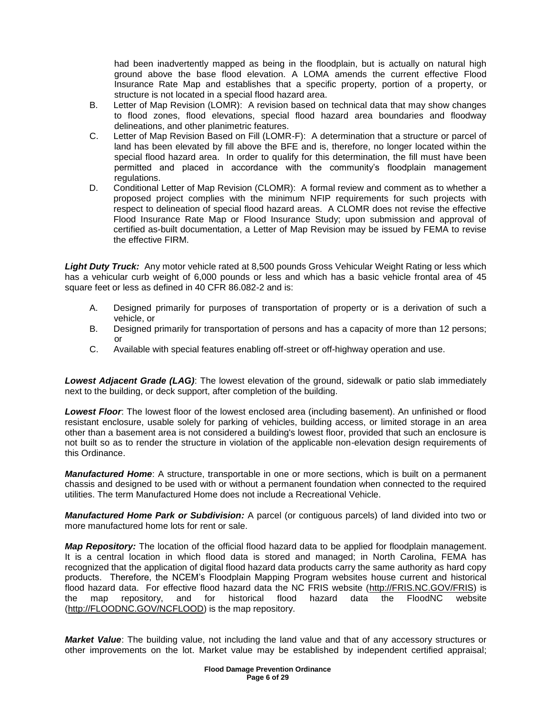had been inadvertently mapped as being in the floodplain, but is actually on natural high ground above the base flood elevation. A LOMA amends the current effective Flood Insurance Rate Map and establishes that a specific property, portion of a property, or structure is not located in a special flood hazard area.

- B. Letter of Map Revision (LOMR): A revision based on technical data that may show changes to flood zones, flood elevations, special flood hazard area boundaries and floodway delineations, and other planimetric features.
- C. Letter of Map Revision Based on Fill (LOMR-F): A determination that a structure or parcel of land has been elevated by fill above the BFE and is, therefore, no longer located within the special flood hazard area. In order to qualify for this determination, the fill must have been permitted and placed in accordance with the community's floodplain management regulations.
- D. Conditional Letter of Map Revision (CLOMR): A formal review and comment as to whether a proposed project complies with the minimum NFIP requirements for such projects with respect to delineation of special flood hazard areas. A CLOMR does not revise the effective Flood Insurance Rate Map or Flood Insurance Study; upon submission and approval of certified as-built documentation, a Letter of Map Revision may be issued by FEMA to revise the effective FIRM.

*Light Duty Truck:* Any motor vehicle rated at 8,500 pounds Gross Vehicular Weight Rating or less which has a vehicular curb weight of 6,000 pounds or less and which has a basic vehicle frontal area of 45 square feet or less as defined in 40 CFR 86.082-2 and is:

- A. Designed primarily for purposes of transportation of property or is a derivation of such a vehicle, or
- B. Designed primarily for transportation of persons and has a capacity of more than 12 persons; or
- C. Available with special features enabling off-street or off-highway operation and use.

*Lowest Adjacent Grade (LAG)*: The lowest elevation of the ground, sidewalk or patio slab immediately next to the building, or deck support, after completion of the building.

*Lowest Floor*: The lowest floor of the lowest enclosed area (including basement). An unfinished or flood resistant enclosure, usable solely for parking of vehicles, building access, or limited storage in an area other than a basement area is not considered a building's lowest floor, provided that such an enclosure is not built so as to render the structure in violation of the applicable non-elevation design requirements of this Ordinance.

*Manufactured Home*: A structure, transportable in one or more sections, which is built on a permanent chassis and designed to be used with or without a permanent foundation when connected to the required utilities. The term Manufactured Home does not include a Recreational Vehicle.

*Manufactured Home Park or Subdivision:* A parcel (or contiguous parcels) of land divided into two or more manufactured home lots for rent or sale.

*Map Repository:* The location of the official flood hazard data to be applied for floodplain management. It is a central location in which flood data is stored and managed; in North Carolina, FEMA has recognized that the application of digital flood hazard data products carry the same authority as hard copy products. Therefore, the NCEM's Floodplain Mapping Program websites house current and historical flood hazard data. For effective flood hazard data the NC FRIS website [\(http://FRIS.NC.GOV/FRIS\)](http://fris.nc.gov/FRIS) is the map repository, and for historical flood hazard data the FloodNC website [\(http://FLOODNC.GOV/NCFLOOD\)](http://floodnc.gov/NCFLOOD) is the map repository.

*Market Value*: The building value, not including the land value and that of any accessory structures or other improvements on the lot. Market value may be established by independent certified appraisal;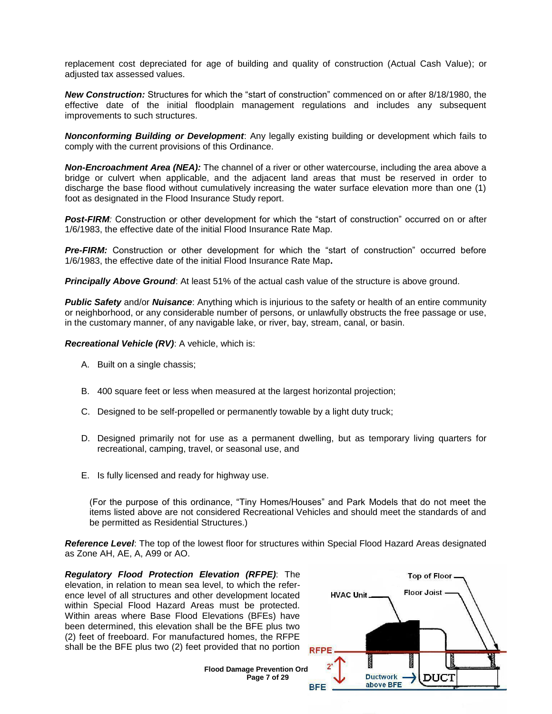replacement cost depreciated for age of building and quality of construction (Actual Cash Value); or adjusted tax assessed values.

*New Construction:* Structures for which the "start of construction" commenced on or after 8/18/1980, the effective date of the initial floodplain management regulations and includes any subsequent improvements to such structures.

*Nonconforming Building or Development*: Any legally existing building or development which fails to comply with the current provisions of this Ordinance.

*Non-Encroachment Area (NEA):* The channel of a river or other watercourse, including the area above a bridge or culvert when applicable, and the adjacent land areas that must be reserved in order to discharge the base flood without cumulatively increasing the water surface elevation more than one (1) foot as designated in the Flood Insurance Study report.

**Post-FIRM**: Construction or other development for which the "start of construction" occurred on or after 1/6/1983, the effective date of the initial Flood Insurance Rate Map.

**Pre-FIRM:** Construction or other development for which the "start of construction" occurred before 1/6/1983, the effective date of the initial Flood Insurance Rate Map**.**

**Principally Above Ground:** At least 51% of the actual cash value of the structure is above ground.

*Public Safety* and/or *Nuisance*: Anything which is injurious to the safety or health of an entire community or neighborhood, or any considerable number of persons, or unlawfully obstructs the free passage or use, in the customary manner, of any navigable lake, or river, bay, stream, canal, or basin.

*Recreational Vehicle (RV)*: A vehicle, which is:

- A. Built on a single chassis;
- B. 400 square feet or less when measured at the largest horizontal projection;
- C. Designed to be self-propelled or permanently towable by a light duty truck;
- D. Designed primarily not for use as a permanent dwelling, but as temporary living quarters for recreational, camping, travel, or seasonal use, and
- E. Is fully licensed and ready for highway use.

(For the purpose of this ordinance, "Tiny Homes/Houses" and Park Models that do not meet the items listed above are not considered Recreational Vehicles and should meet the standards of and be permitted as Residential Structures.)

*Reference Level*: The top of the lowest floor for structures within Special Flood Hazard Areas designated as Zone AH, AE, A, A99 or AO.

*Regulatory Flood Protection Elevation (RFPE)*: The elevation, in relation to mean sea level, to which the reference level of all structures and other development located within Special Flood Hazard Areas must be protected. Within areas where Base Flood Elevations (BFEs) have been determined, this elevation shall be the BFE plus two (2) feet of freeboard. For manufactured homes, the RFPE shall be the BFE plus two (2) feet provided that no portion



**Flood Damage Prevention Ord Page 7 of 29**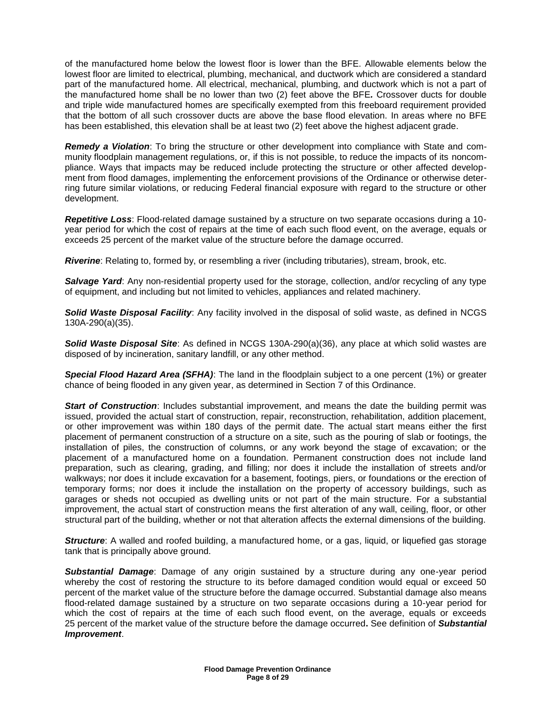of the manufactured home below the lowest floor is lower than the BFE. Allowable elements below the lowest floor are limited to electrical, plumbing, mechanical, and ductwork which are considered a standard part of the manufactured home. All electrical, mechanical, plumbing, and ductwork which is not a part of the manufactured home shall be no lower than two (2) feet above the BFE*.* Crossover ducts for double and triple wide manufactured homes are specifically exempted from this freeboard requirement provided that the bottom of all such crossover ducts are above the base flood elevation. In areas where no BFE has been established, this elevation shall be at least two (2) feet above the highest adjacent grade.

*Remedy a Violation*: To bring the structure or other development into compliance with State and community floodplain management regulations, or, if this is not possible, to reduce the impacts of its noncompliance. Ways that impacts may be reduced include protecting the structure or other affected development from flood damages, implementing the enforcement provisions of the Ordinance or otherwise deterring future similar violations, or reducing Federal financial exposure with regard to the structure or other development.

*Repetitive Loss*: Flood-related damage sustained by a structure on two separate occasions during a 10 year period for which the cost of repairs at the time of each such flood event, on the average, equals or exceeds 25 percent of the market value of the structure before the damage occurred.

*Riverine*: Relating to, formed by, or resembling a river (including tributaries), stream, brook, etc.

**Salvage Yard:** Any non-residential property used for the storage, collection, and/or recycling of any type of equipment, and including but not limited to vehicles, appliances and related machinery.

*Solid Waste Disposal Facility*: Any facility involved in the disposal of solid waste, as defined in NCGS 130A-290(a)(35).

*Solid Waste Disposal Site*: As defined in NCGS 130A-290(a)(36), any place at which solid wastes are disposed of by incineration, sanitary landfill, or any other method.

*Special Flood Hazard Area (SFHA)*: The land in the floodplain subject to a one percent (1%) or greater chance of being flooded in any given year, as determined in Section 7 of this Ordinance.

*Start of Construction*: Includes substantial improvement, and means the date the building permit was issued, provided the actual start of construction, repair, reconstruction, rehabilitation, addition placement, or other improvement was within 180 days of the permit date. The actual start means either the first placement of permanent construction of a structure on a site, such as the pouring of slab or footings, the installation of piles, the construction of columns, or any work beyond the stage of excavation; or the placement of a manufactured home on a foundation. Permanent construction does not include land preparation, such as clearing, grading, and filling; nor does it include the installation of streets and/or walkways; nor does it include excavation for a basement, footings, piers, or foundations or the erection of temporary forms; nor does it include the installation on the property of accessory buildings, such as garages or sheds not occupied as dwelling units or not part of the main structure. For a substantial improvement, the actual start of construction means the first alteration of any wall, ceiling, floor, or other structural part of the building, whether or not that alteration affects the external dimensions of the building.

*Structure*: A walled and roofed building, a manufactured home, or a gas, liquid, or liquefied gas storage tank that is principally above ground.

*Substantial Damage*: Damage of any origin sustained by a structure during any one-year period whereby the cost of restoring the structure to its before damaged condition would equal or exceed 50 percent of the market value of the structure before the damage occurred. Substantial damage also means flood-related damage sustained by a structure on two separate occasions during a 10-year period for which the cost of repairs at the time of each such flood event, on the average, equals or exceeds 25 percent of the market value of the structure before the damage occurred**.** See definition of *Substantial Improvement*.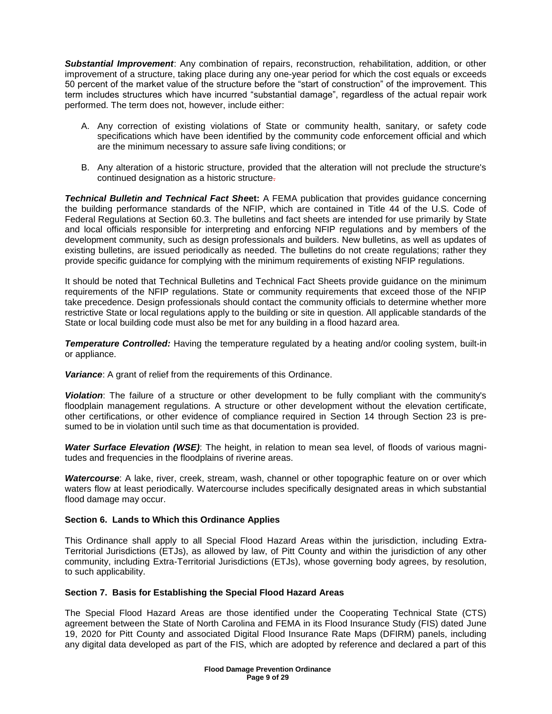*Substantial Improvement*: Any combination of repairs, reconstruction, rehabilitation, addition, or other improvement of a structure, taking place during any one-year period for which the cost equals or exceeds 50 percent of the market value of the structure before the "start of construction" of the improvement. This term includes structures which have incurred "substantial damage", regardless of the actual repair work performed. The term does not, however, include either:

- A. Any correction of existing violations of State or community health, sanitary, or safety code specifications which have been identified by the community code enforcement official and which are the minimum necessary to assure safe living conditions; or
- B. Any alteration of a historic structure, provided that the alteration will not preclude the structure's continued designation as a historic structure.

*Technical Bulletin and Technical Fact She***et:** A FEMA publication that provides guidance concerning the building performance standards of the NFIP, which are contained in Title 44 of the U.S. Code of Federal Regulations at Section 60.3. The bulletins and fact sheets are intended for use primarily by State and local officials responsible for interpreting and enforcing NFIP regulations and by members of the development community, such as design professionals and builders. New bulletins, as well as updates of existing bulletins, are issued periodically as needed. The bulletins do not create regulations; rather they provide specific guidance for complying with the minimum requirements of existing NFIP regulations.

It should be noted that Technical Bulletins and Technical Fact Sheets provide guidance on the minimum requirements of the NFIP regulations. State or community requirements that exceed those of the NFIP take precedence. Design professionals should contact the community officials to determine whether more restrictive State or local regulations apply to the building or site in question. All applicable standards of the State or local building code must also be met for any building in a flood hazard area.

*Temperature Controlled:* Having the temperature regulated by a heating and/or cooling system, built-in or appliance.

*Variance*: A grant of relief from the requirements of this Ordinance.

*Violation*: The failure of a structure or other development to be fully compliant with the community's floodplain management regulations. A structure or other development without the elevation certificate, other certifications, or other evidence of compliance required in Section 14 through Section 23 is presumed to be in violation until such time as that documentation is provided.

*Water Surface Elevation (WSE)*: The height, in relation to mean sea level, of floods of various magnitudes and frequencies in the floodplains of riverine areas.

**Watercourse**: A lake, river, creek, stream, wash, channel or other topographic feature on or over which waters flow at least periodically. Watercourse includes specifically designated areas in which substantial flood damage may occur.

# **Section 6. Lands to Which this Ordinance Applies**

This Ordinance shall apply to all Special Flood Hazard Areas within the jurisdiction, including Extra-Territorial Jurisdictions (ETJs), as allowed by law, of Pitt County and within the jurisdiction of any other community, including Extra-Territorial Jurisdictions (ETJs), whose governing body agrees, by resolution, to such applicability.

# **Section 7. Basis for Establishing the Special Flood Hazard Areas**

The Special Flood Hazard Areas are those identified under the Cooperating Technical State (CTS) agreement between the State of North Carolina and FEMA in its Flood Insurance Study (FIS) dated June 19, 2020 for Pitt County and associated Digital Flood Insurance Rate Maps (DFIRM) panels, including any digital data developed as part of the FIS, which are adopted by reference and declared a part of this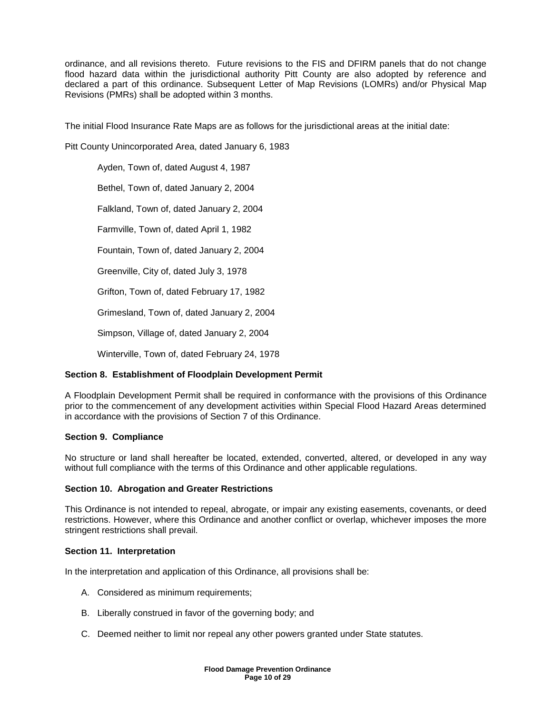ordinance, and all revisions thereto. Future revisions to the FIS and DFIRM panels that do not change flood hazard data within the jurisdictional authority Pitt County are also adopted by reference and declared a part of this ordinance. Subsequent Letter of Map Revisions (LOMRs) and/or Physical Map Revisions (PMRs) shall be adopted within 3 months.

The initial Flood Insurance Rate Maps are as follows for the jurisdictional areas at the initial date:

Pitt County Unincorporated Area, dated January 6, 1983

Ayden, Town of, dated August 4, 1987

Bethel, Town of, dated January 2, 2004

Falkland, Town of, dated January 2, 2004

Farmville, Town of, dated April 1, 1982

Fountain, Town of, dated January 2, 2004

Greenville, City of, dated July 3, 1978

Grifton, Town of, dated February 17, 1982

Grimesland, Town of, dated January 2, 2004

Simpson, Village of, dated January 2, 2004

Winterville, Town of, dated February 24, 1978

# **Section 8. Establishment of Floodplain Development Permit**

A Floodplain Development Permit shall be required in conformance with the provisions of this Ordinance prior to the commencement of any development activities within Special Flood Hazard Areas determined in accordance with the provisions of Section 7 of this Ordinance.

# **Section 9. Compliance**

No structure or land shall hereafter be located, extended, converted, altered, or developed in any way without full compliance with the terms of this Ordinance and other applicable regulations.

# **Section 10. Abrogation and Greater Restrictions**

This Ordinance is not intended to repeal, abrogate, or impair any existing easements, covenants, or deed restrictions. However, where this Ordinance and another conflict or overlap, whichever imposes the more stringent restrictions shall prevail.

# **Section 11. Interpretation**

In the interpretation and application of this Ordinance, all provisions shall be:

- A. Considered as minimum requirements;
- B. Liberally construed in favor of the governing body; and
- C. Deemed neither to limit nor repeal any other powers granted under State statutes.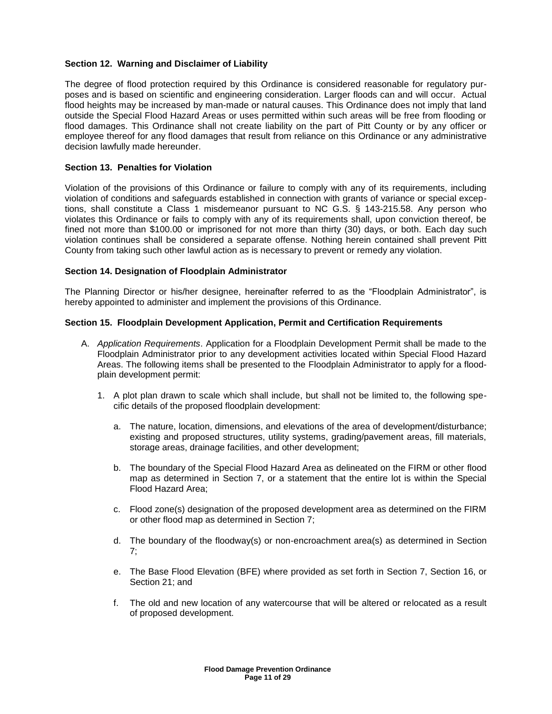# **Section 12. Warning and Disclaimer of Liability**

The degree of flood protection required by this Ordinance is considered reasonable for regulatory purposes and is based on scientific and engineering consideration. Larger floods can and will occur. Actual flood heights may be increased by man-made or natural causes. This Ordinance does not imply that land outside the Special Flood Hazard Areas or uses permitted within such areas will be free from flooding or flood damages. This Ordinance shall not create liability on the part of Pitt County or by any officer or employee thereof for any flood damages that result from reliance on this Ordinance or any administrative decision lawfully made hereunder.

# **Section 13. Penalties for Violation**

Violation of the provisions of this Ordinance or failure to comply with any of its requirements, including violation of conditions and safeguards established in connection with grants of variance or special exceptions, shall constitute a Class 1 misdemeanor pursuant to NC G.S. § 143-215.58. Any person who violates this Ordinance or fails to comply with any of its requirements shall, upon conviction thereof, be fined not more than \$100.00 or imprisoned for not more than thirty (30) days, or both. Each day such violation continues shall be considered a separate offense. Nothing herein contained shall prevent Pitt County from taking such other lawful action as is necessary to prevent or remedy any violation.

#### **Section 14. Designation of Floodplain Administrator**

The Planning Director or his/her designee, hereinafter referred to as the "Floodplain Administrator", is hereby appointed to administer and implement the provisions of this Ordinance.

#### **Section 15. Floodplain Development Application, Permit and Certification Requirements**

- A. *Application Requirements*. Application for a Floodplain Development Permit shall be made to the Floodplain Administrator prior to any development activities located within Special Flood Hazard Areas. The following items shall be presented to the Floodplain Administrator to apply for a floodplain development permit:
	- 1. A plot plan drawn to scale which shall include, but shall not be limited to, the following specific details of the proposed floodplain development:
		- a. The nature, location, dimensions, and elevations of the area of development/disturbance; existing and proposed structures, utility systems, grading/pavement areas, fill materials, storage areas, drainage facilities, and other development;
		- b. The boundary of the Special Flood Hazard Area as delineated on the FIRM or other flood map as determined in Section 7, or a statement that the entire lot is within the Special Flood Hazard Area;
		- c. Flood zone(s) designation of the proposed development area as determined on the FIRM or other flood map as determined in Section 7;
		- d. The boundary of the floodway(s) or non-encroachment area(s) as determined in Section 7;
		- e. The Base Flood Elevation (BFE) where provided as set forth in Section 7, Section 16, or Section 21; and
		- f. The old and new location of any watercourse that will be altered or relocated as a result of proposed development.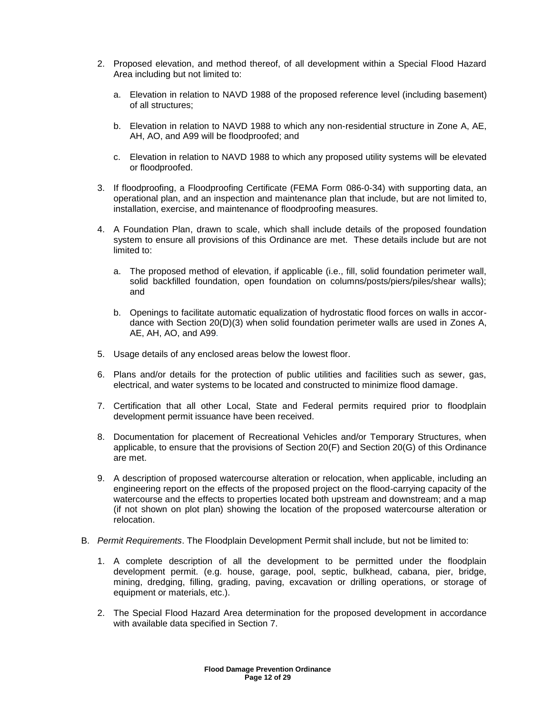- 2. Proposed elevation, and method thereof, of all development within a Special Flood Hazard Area including but not limited to:
	- a. Elevation in relation to NAVD 1988 of the proposed reference level (including basement) of all structures;
	- b. Elevation in relation to NAVD 1988 to which any non-residential structure in Zone A, AE, AH, AO, and A99 will be floodproofed; and
	- c. Elevation in relation to NAVD 1988 to which any proposed utility systems will be elevated or floodproofed.
- 3. If floodproofing, a Floodproofing Certificate (FEMA Form 086-0-34) with supporting data, an operational plan, and an inspection and maintenance plan that include, but are not limited to, installation, exercise, and maintenance of floodproofing measures.
- 4. A Foundation Plan, drawn to scale, which shall include details of the proposed foundation system to ensure all provisions of this Ordinance are met. These details include but are not limited to:
	- a. The proposed method of elevation, if applicable (i.e., fill, solid foundation perimeter wall, solid backfilled foundation, open foundation on columns/posts/piers/piles/shear walls); and
	- b. Openings to facilitate automatic equalization of hydrostatic flood forces on walls in accordance with Section 20(D)(3) when solid foundation perimeter walls are used in Zones A, AE, AH, AO, and A99.
- 5. Usage details of any enclosed areas below the lowest floor.
- 6. Plans and/or details for the protection of public utilities and facilities such as sewer, gas, electrical, and water systems to be located and constructed to minimize flood damage.
- 7. Certification that all other Local, State and Federal permits required prior to floodplain development permit issuance have been received.
- 8. Documentation for placement of Recreational Vehicles and/or Temporary Structures, when applicable, to ensure that the provisions of Section 20(F) and Section 20(G) of this Ordinance are met.
- 9. A description of proposed watercourse alteration or relocation, when applicable, including an engineering report on the effects of the proposed project on the flood-carrying capacity of the watercourse and the effects to properties located both upstream and downstream; and a map (if not shown on plot plan) showing the location of the proposed watercourse alteration or relocation.
- B. *Permit Requirements*. The Floodplain Development Permit shall include, but not be limited to:
	- 1. A complete description of all the development to be permitted under the floodplain development permit. (e.g. house, garage, pool, septic, bulkhead, cabana, pier, bridge, mining, dredging, filling, grading, paving, excavation or drilling operations, or storage of equipment or materials, etc.).
	- 2. The Special Flood Hazard Area determination for the proposed development in accordance with available data specified in Section 7.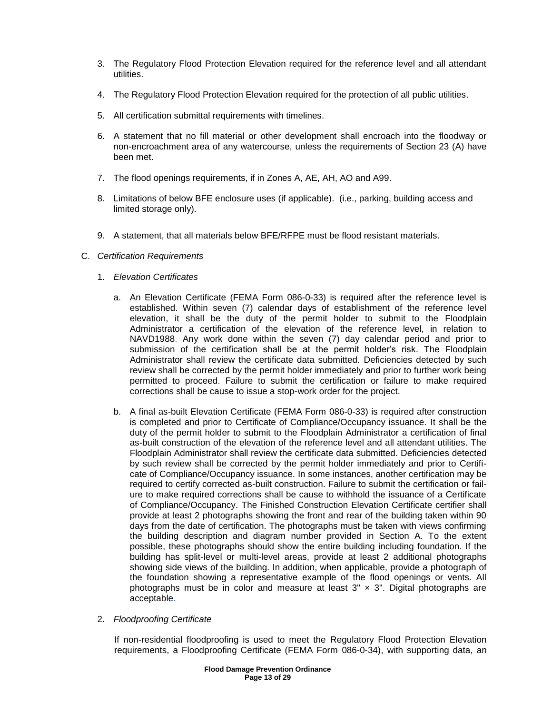- 3. The Regulatory Flood Protection Elevation required for the reference level and all attendant utilities.
- 4. The Regulatory Flood Protection Elevation required for the protection of all public utilities.
- 5. All certification submittal requirements with timelines.
- 6. A statement that no fill material or other development shall encroach into the floodway or non-encroachment area of any watercourse, unless the requirements of Section 23 (A) have been met.
- 7. The flood openings requirements, if in Zones A, AE, AH, AO and A99.
- 8. Limitations of below BFE enclosure uses (if applicable). (i.e., parking, building access and limited storage only).
- 9. A statement, that all materials below BFE/RFPE must be flood resistant materials.
- C. *Certification Requirements*
	- 1. *Elevation Certificates*
		- a. An Elevation Certificate (FEMA Form 086-0-33) is required after the reference level is established. Within seven (7) calendar days of establishment of the reference level elevation, it shall be the duty of the permit holder to submit to the Floodplain Administrator a certification of the elevation of the reference level, in relation to NAVD1988. Any work done within the seven (7) day calendar period and prior to submission of the certification shall be at the permit holder's risk. The Floodplain Administrator shall review the certificate data submitted. Deficiencies detected by such review shall be corrected by the permit holder immediately and prior to further work being permitted to proceed. Failure to submit the certification or failure to make required corrections shall be cause to issue a stop-work order for the project.
		- b. A final as-built Elevation Certificate (FEMA Form 086-0-33) is required after construction is completed and prior to Certificate of Compliance/Occupancy issuance. It shall be the duty of the permit holder to submit to the Floodplain Administrator a certification of final as-built construction of the elevation of the reference level and all attendant utilities. The Floodplain Administrator shall review the certificate data submitted. Deficiencies detected by such review shall be corrected by the permit holder immediately and prior to Certificate of Compliance/Occupancy issuance. In some instances, another certification may be required to certify corrected as-built construction. Failure to submit the certification or failure to make required corrections shall be cause to withhold the issuance of a Certificate of Compliance/Occupancy. The Finished Construction Elevation Certificate certifier shall provide at least 2 photographs showing the front and rear of the building taken within 90 days from the date of certification. The photographs must be taken with views confirming the building description and diagram number provided in Section A. To the extent possible, these photographs should show the entire building including foundation. If the building has split-level or multi-level areas, provide at least 2 additional photographs showing side views of the building. In addition, when applicable, provide a photograph of the foundation showing a representative example of the flood openings or vents. All photographs must be in color and measure at least  $3'' \times 3''$ . Digital photographs are acceptable.
	- 2. *Floodproofing Certificate*

If non-residential floodproofing is used to meet the Regulatory Flood Protection Elevation requirements, a Floodproofing Certificate (FEMA Form 086-0-34), with supporting data, an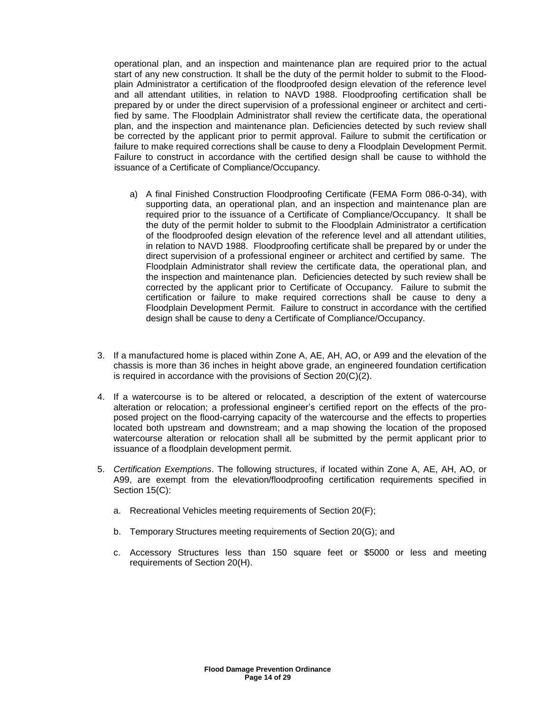operational plan, and an inspection and maintenance plan are required prior to the actual start of any new construction. It shall be the duty of the permit holder to submit to the Floodplain Administrator a certification of the floodproofed design elevation of the reference level and all attendant utilities, in relation to NAVD 1988. Floodproofing certification shall be prepared by or under the direct supervision of a professional engineer or architect and certified by same. The Floodplain Administrator shall review the certificate data, the operational plan, and the inspection and maintenance plan. Deficiencies detected by such review shall be corrected by the applicant prior to permit approval. Failure to submit the certification or failure to make required corrections shall be cause to deny a Floodplain Development Permit. Failure to construct in accordance with the certified design shall be cause to withhold the issuance of a Certificate of Compliance/Occupancy.

- a) A final Finished Construction Floodproofing Certificate (FEMA Form 086-0-34), with supporting data, an operational plan, and an inspection and maintenance plan are required prior to the issuance of a Certificate of Compliance/Occupancy. It shall be the duty of the permit holder to submit to the Floodplain Administrator a certification of the floodproofed design elevation of the reference level and all attendant utilities, in relation to NAVD 1988. Floodproofing certificate shall be prepared by or under the direct supervision of a professional engineer or architect and certified by same. The Floodplain Administrator shall review the certificate data, the operational plan, and the inspection and maintenance plan. Deficiencies detected by such review shall be corrected by the applicant prior to Certificate of Occupancy. Failure to submit the certification or failure to make required corrections shall be cause to deny a Floodplain Development Permit. Failure to construct in accordance with the certified design shall be cause to deny a Certificate of Compliance/Occupancy.
- 3. If a manufactured home is placed within Zone A, AE, AH, AO, or A99 and the elevation of the chassis is more than 36 inches in height above grade, an engineered foundation certification is required in accordance with the provisions of Section 20(C)(2).
- 4. If a watercourse is to be altered or relocated, a description of the extent of watercourse alteration or relocation; a professional engineer's certified report on the effects of the proposed project on the flood-carrying capacity of the watercourse and the effects to properties located both upstream and downstream; and a map showing the location of the proposed watercourse alteration or relocation shall all be submitted by the permit applicant prior to issuance of a floodplain development permit.
- 5. *Certification Exemptions*. The following structures, if located within Zone A, AE, AH, AO, or A99, are exempt from the elevation/floodproofing certification requirements specified in Section 15(C):
	- a. Recreational Vehicles meeting requirements of Section 20(F);
	- b. Temporary Structures meeting requirements of Section 20(G); and
	- c. Accessory Structures less than 150 square feet or \$5000 or less and meeting requirements of Section 20(H).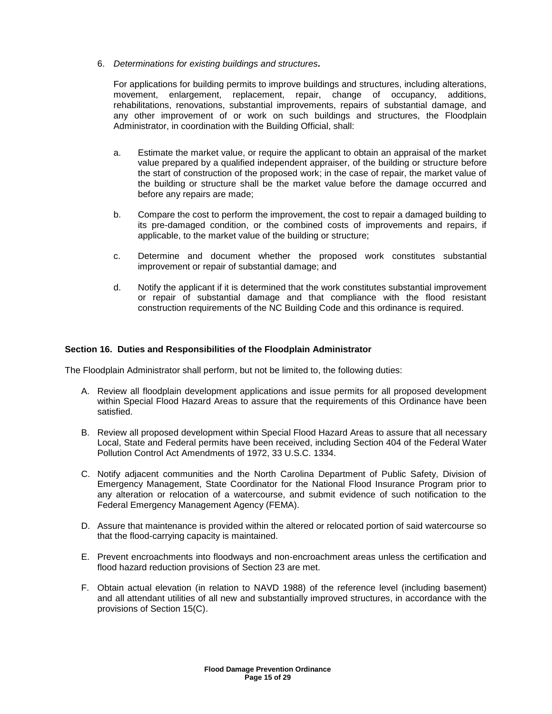6. *Determinations for existing buildings and structures.*

For applications for building permits to improve buildings and structures, including alterations, movement, enlargement, replacement, repair, change of occupancy, additions, rehabilitations, renovations, substantial improvements, repairs of substantial damage, and any other improvement of or work on such buildings and structures, the Floodplain Administrator, in coordination with the Building Official, shall:

- a. Estimate the market value, or require the applicant to obtain an appraisal of the market value prepared by a qualified independent appraiser, of the building or structure before the start of construction of the proposed work; in the case of repair, the market value of the building or structure shall be the market value before the damage occurred and before any repairs are made;
- b. Compare the cost to perform the improvement, the cost to repair a damaged building to its pre-damaged condition, or the combined costs of improvements and repairs, if applicable, to the market value of the building or structure;
- c. Determine and document whether the proposed work constitutes substantial improvement or repair of substantial damage; and
- d. Notify the applicant if it is determined that the work constitutes substantial improvement or repair of substantial damage and that compliance with the flood resistant construction requirements of the NC Building Code and this ordinance is required.

# **Section 16. Duties and Responsibilities of the Floodplain Administrator**

The Floodplain Administrator shall perform, but not be limited to, the following duties:

- A. Review all floodplain development applications and issue permits for all proposed development within Special Flood Hazard Areas to assure that the requirements of this Ordinance have been satisfied.
- B. Review all proposed development within Special Flood Hazard Areas to assure that all necessary Local, State and Federal permits have been received, including Section 404 of the Federal Water Pollution Control Act Amendments of 1972, 33 U.S.C. 1334.
- C. Notify adjacent communities and the North Carolina Department of Public Safety, Division of Emergency Management, State Coordinator for the National Flood Insurance Program prior to any alteration or relocation of a watercourse, and submit evidence of such notification to the Federal Emergency Management Agency (FEMA).
- D. Assure that maintenance is provided within the altered or relocated portion of said watercourse so that the flood-carrying capacity is maintained.
- E. Prevent encroachments into floodways and non-encroachment areas unless the certification and flood hazard reduction provisions of Section 23 are met.
- F. Obtain actual elevation (in relation to NAVD 1988) of the reference level (including basement) and all attendant utilities of all new and substantially improved structures, in accordance with the provisions of Section 15(C).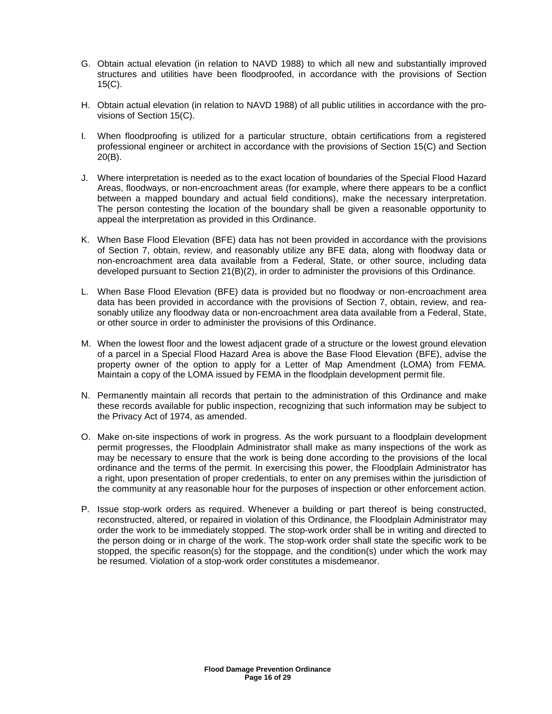- G. Obtain actual elevation (in relation to NAVD 1988) to which all new and substantially improved structures and utilities have been floodproofed, in accordance with the provisions of Section 15(C).
- H. Obtain actual elevation (in relation to NAVD 1988) of all public utilities in accordance with the provisions of Section 15(C).
- I. When floodproofing is utilized for a particular structure, obtain certifications from a registered professional engineer or architect in accordance with the provisions of Section 15(C) and Section 20(B).
- J. Where interpretation is needed as to the exact location of boundaries of the Special Flood Hazard Areas, floodways, or non-encroachment areas (for example, where there appears to be a conflict between a mapped boundary and actual field conditions), make the necessary interpretation. The person contesting the location of the boundary shall be given a reasonable opportunity to appeal the interpretation as provided in this Ordinance.
- K. When Base Flood Elevation (BFE) data has not been provided in accordance with the provisions of Section 7, obtain, review, and reasonably utilize any BFE data, along with floodway data or non-encroachment area data available from a Federal, State, or other source, including data developed pursuant to Section 21(B)(2), in order to administer the provisions of this Ordinance.
- L. When Base Flood Elevation (BFE) data is provided but no floodway or non-encroachment area data has been provided in accordance with the provisions of Section 7, obtain, review, and reasonably utilize any floodway data or non-encroachment area data available from a Federal, State, or other source in order to administer the provisions of this Ordinance.
- M. When the lowest floor and the lowest adjacent grade of a structure or the lowest ground elevation of a parcel in a Special Flood Hazard Area is above the Base Flood Elevation (BFE), advise the property owner of the option to apply for a Letter of Map Amendment (LOMA) from FEMA. Maintain a copy of the LOMA issued by FEMA in the floodplain development permit file.
- N. Permanently maintain all records that pertain to the administration of this Ordinance and make these records available for public inspection, recognizing that such information may be subject to the Privacy Act of 1974, as amended.
- O. Make on-site inspections of work in progress. As the work pursuant to a floodplain development permit progresses, the Floodplain Administrator shall make as many inspections of the work as may be necessary to ensure that the work is being done according to the provisions of the local ordinance and the terms of the permit. In exercising this power, the Floodplain Administrator has a right, upon presentation of proper credentials, to enter on any premises within the jurisdiction of the community at any reasonable hour for the purposes of inspection or other enforcement action.
- P. Issue stop-work orders as required. Whenever a building or part thereof is being constructed, reconstructed, altered, or repaired in violation of this Ordinance, the Floodplain Administrator may order the work to be immediately stopped. The stop-work order shall be in writing and directed to the person doing or in charge of the work. The stop-work order shall state the specific work to be stopped, the specific reason(s) for the stoppage, and the condition(s) under which the work may be resumed. Violation of a stop-work order constitutes a misdemeanor.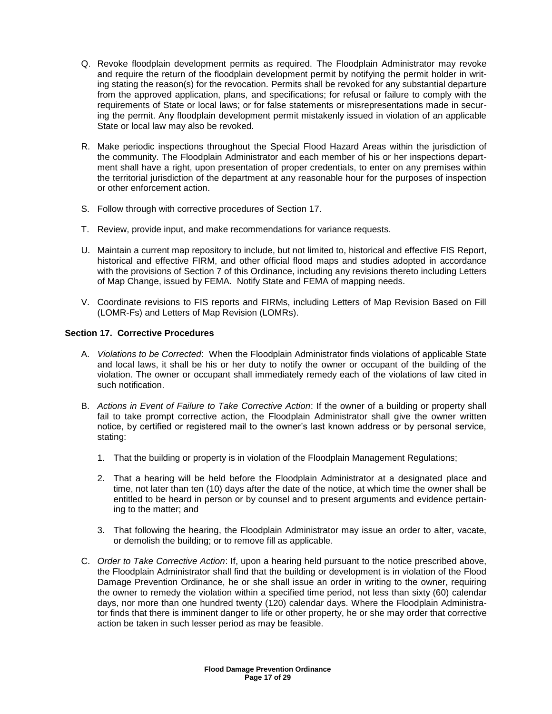- Q. Revoke floodplain development permits as required. The Floodplain Administrator may revoke and require the return of the floodplain development permit by notifying the permit holder in writing stating the reason(s) for the revocation. Permits shall be revoked for any substantial departure from the approved application, plans, and specifications; for refusal or failure to comply with the requirements of State or local laws; or for false statements or misrepresentations made in securing the permit. Any floodplain development permit mistakenly issued in violation of an applicable State or local law may also be revoked.
- R. Make periodic inspections throughout the Special Flood Hazard Areas within the jurisdiction of the community. The Floodplain Administrator and each member of his or her inspections department shall have a right, upon presentation of proper credentials, to enter on any premises within the territorial jurisdiction of the department at any reasonable hour for the purposes of inspection or other enforcement action.
- S. Follow through with corrective procedures of Section 17.
- T. Review, provide input, and make recommendations for variance requests.
- U. Maintain a current map repository to include, but not limited to, historical and effective FIS Report, historical and effective FIRM, and other official flood maps and studies adopted in accordance with the provisions of Section 7 of this Ordinance, including any revisions thereto including Letters of Map Change, issued by FEMA. Notify State and FEMA of mapping needs.
- V. Coordinate revisions to FIS reports and FIRMs, including Letters of Map Revision Based on Fill (LOMR-Fs) and Letters of Map Revision (LOMRs).

# **Section 17. Corrective Procedures**

- A. *Violations to be Corrected*: When the Floodplain Administrator finds violations of applicable State and local laws, it shall be his or her duty to notify the owner or occupant of the building of the violation. The owner or occupant shall immediately remedy each of the violations of law cited in such notification.
- B. *Actions in Event of Failure to Take Corrective Action*: If the owner of a building or property shall fail to take prompt corrective action, the Floodplain Administrator shall give the owner written notice, by certified or registered mail to the owner's last known address or by personal service, stating:
	- 1. That the building or property is in violation of the Floodplain Management Regulations;
	- 2. That a hearing will be held before the Floodplain Administrator at a designated place and time, not later than ten (10) days after the date of the notice, at which time the owner shall be entitled to be heard in person or by counsel and to present arguments and evidence pertaining to the matter; and
	- 3. That following the hearing, the Floodplain Administrator may issue an order to alter, vacate, or demolish the building; or to remove fill as applicable.
- C. *Order to Take Corrective Action*: If, upon a hearing held pursuant to the notice prescribed above, the Floodplain Administrator shall find that the building or development is in violation of the Flood Damage Prevention Ordinance, he or she shall issue an order in writing to the owner, requiring the owner to remedy the violation within a specified time period, not less than sixty (60) calendar days, nor more than one hundred twenty (120) calendar days. Where the Floodplain Administrator finds that there is imminent danger to life or other property, he or she may order that corrective action be taken in such lesser period as may be feasible.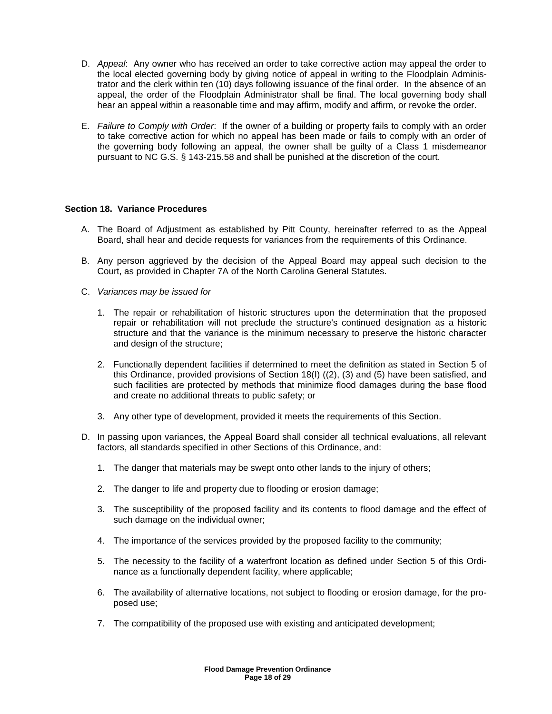- D. *Appeal*: Any owner who has received an order to take corrective action may appeal the order to the local elected governing body by giving notice of appeal in writing to the Floodplain Administrator and the clerk within ten (10) days following issuance of the final order. In the absence of an appeal, the order of the Floodplain Administrator shall be final. The local governing body shall hear an appeal within a reasonable time and may affirm, modify and affirm, or revoke the order.
- E. *Failure to Comply with Order*: If the owner of a building or property fails to comply with an order to take corrective action for which no appeal has been made or fails to comply with an order of the governing body following an appeal, the owner shall be guilty of a Class 1 misdemeanor pursuant to NC G.S. § 143-215.58 and shall be punished at the discretion of the court.

# **Section 18. Variance Procedures**

- A. The Board of Adjustment as established by Pitt County, hereinafter referred to as the Appeal Board, shall hear and decide requests for variances from the requirements of this Ordinance.
- B. Any person aggrieved by the decision of the Appeal Board may appeal such decision to the Court, as provided in Chapter 7A of the North Carolina General Statutes.
- C. *Variances may be issued for*
	- 1. The repair or rehabilitation of historic structures upon the determination that the proposed repair or rehabilitation will not preclude the structure's continued designation as a historic structure and that the variance is the minimum necessary to preserve the historic character and design of the structure;
	- 2. Functionally dependent facilities if determined to meet the definition as stated in Section 5 of this Ordinance, provided provisions of Section 18(I) ((2), (3) and (5) have been satisfied, and such facilities are protected by methods that minimize flood damages during the base flood and create no additional threats to public safety; or
	- 3. Any other type of development, provided it meets the requirements of this Section.
- D. In passing upon variances, the Appeal Board shall consider all technical evaluations, all relevant factors, all standards specified in other Sections of this Ordinance, and:
	- 1. The danger that materials may be swept onto other lands to the injury of others;
	- 2. The danger to life and property due to flooding or erosion damage;
	- 3. The susceptibility of the proposed facility and its contents to flood damage and the effect of such damage on the individual owner;
	- 4. The importance of the services provided by the proposed facility to the community;
	- 5. The necessity to the facility of a waterfront location as defined under Section 5 of this Ordinance as a functionally dependent facility, where applicable;
	- 6. The availability of alternative locations, not subject to flooding or erosion damage, for the proposed use;
	- 7. The compatibility of the proposed use with existing and anticipated development;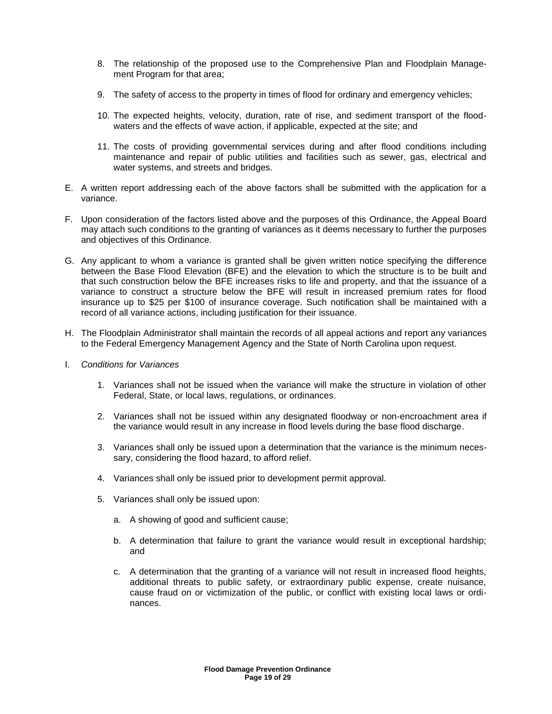- 8. The relationship of the proposed use to the Comprehensive Plan and Floodplain Management Program for that area;
- 9. The safety of access to the property in times of flood for ordinary and emergency vehicles;
- 10. The expected heights, velocity, duration, rate of rise, and sediment transport of the floodwaters and the effects of wave action, if applicable, expected at the site; and
- 11. The costs of providing governmental services during and after flood conditions including maintenance and repair of public utilities and facilities such as sewer, gas, electrical and water systems, and streets and bridges.
- E. A written report addressing each of the above factors shall be submitted with the application for a variance.
- F. Upon consideration of the factors listed above and the purposes of this Ordinance, the Appeal Board may attach such conditions to the granting of variances as it deems necessary to further the purposes and objectives of this Ordinance.
- G. Any applicant to whom a variance is granted shall be given written notice specifying the difference between the Base Flood Elevation (BFE) and the elevation to which the structure is to be built and that such construction below the BFE increases risks to life and property, and that the issuance of a variance to construct a structure below the BFE will result in increased premium rates for flood insurance up to \$25 per \$100 of insurance coverage. Such notification shall be maintained with a record of all variance actions, including justification for their issuance.
- H. The Floodplain Administrator shall maintain the records of all appeal actions and report any variances to the Federal Emergency Management Agency and the State of North Carolina upon request.
- I. *Conditions for Variances*
	- 1. Variances shall not be issued when the variance will make the structure in violation of other Federal, State, or local laws, regulations, or ordinances.
	- 2. Variances shall not be issued within any designated floodway or non-encroachment area if the variance would result in any increase in flood levels during the base flood discharge.
	- 3. Variances shall only be issued upon a determination that the variance is the minimum necessary, considering the flood hazard, to afford relief.
	- 4. Variances shall only be issued prior to development permit approval.
	- 5. Variances shall only be issued upon:
		- a. A showing of good and sufficient cause;
		- b. A determination that failure to grant the variance would result in exceptional hardship; and
		- c. A determination that the granting of a variance will not result in increased flood heights, additional threats to public safety, or extraordinary public expense, create nuisance, cause fraud on or victimization of the public, or conflict with existing local laws or ordinances.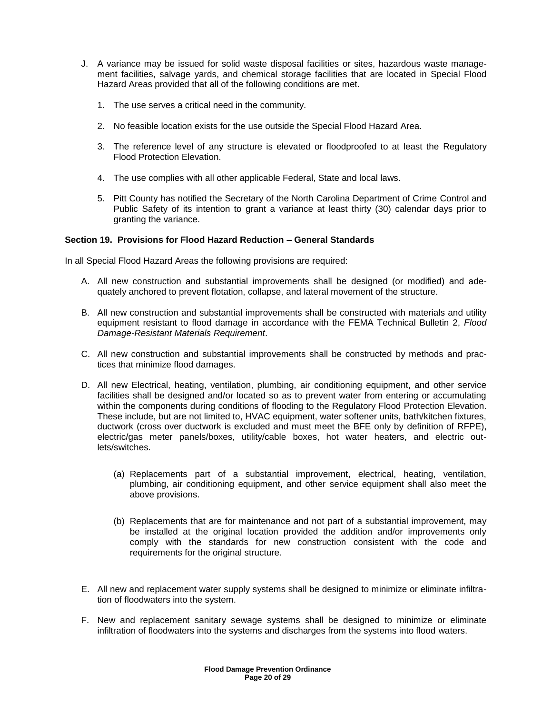- J. A variance may be issued for solid waste disposal facilities or sites, hazardous waste management facilities, salvage yards, and chemical storage facilities that are located in Special Flood Hazard Areas provided that all of the following conditions are met.
	- 1. The use serves a critical need in the community.
	- 2. No feasible location exists for the use outside the Special Flood Hazard Area.
	- 3. The reference level of any structure is elevated or floodproofed to at least the Regulatory Flood Protection Elevation.
	- 4. The use complies with all other applicable Federal, State and local laws.
	- 5. Pitt County has notified the Secretary of the North Carolina Department of Crime Control and Public Safety of its intention to grant a variance at least thirty (30) calendar days prior to granting the variance.

# **Section 19. Provisions for Flood Hazard Reduction – General Standards**

In all Special Flood Hazard Areas the following provisions are required:

- A. All new construction and substantial improvements shall be designed (or modified) and adequately anchored to prevent flotation, collapse, and lateral movement of the structure.
- B. All new construction and substantial improvements shall be constructed with materials and utility equipment resistant to flood damage in accordance with the FEMA Technical Bulletin 2, *Flood Damage-Resistant Materials Requirement*.
- C. All new construction and substantial improvements shall be constructed by methods and practices that minimize flood damages.
- D. All new Electrical, heating, ventilation, plumbing, air conditioning equipment, and other service facilities shall be designed and/or located so as to prevent water from entering or accumulating within the components during conditions of flooding to the Regulatory Flood Protection Elevation. These include, but are not limited to, HVAC equipment, water softener units, bath/kitchen fixtures, ductwork (cross over ductwork is excluded and must meet the BFE only by definition of RFPE), electric/gas meter panels/boxes, utility/cable boxes, hot water heaters, and electric outlets/switches.
	- (a) Replacements part of a substantial improvement, electrical, heating, ventilation, plumbing, air conditioning equipment, and other service equipment shall also meet the above provisions.
	- (b) Replacements that are for maintenance and not part of a substantial improvement, may be installed at the original location provided the addition and/or improvements only comply with the standards for new construction consistent with the code and requirements for the original structure.
- E. All new and replacement water supply systems shall be designed to minimize or eliminate infiltration of floodwaters into the system.
- F. New and replacement sanitary sewage systems shall be designed to minimize or eliminate infiltration of floodwaters into the systems and discharges from the systems into flood waters.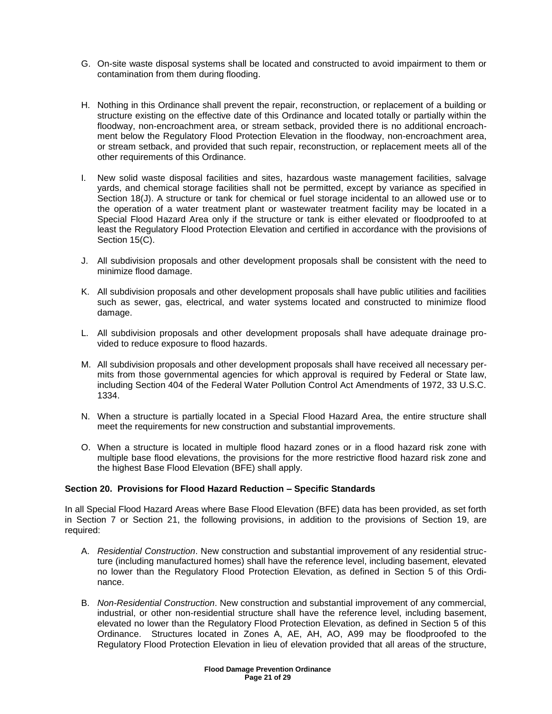- G. On-site waste disposal systems shall be located and constructed to avoid impairment to them or contamination from them during flooding.
- H. Nothing in this Ordinance shall prevent the repair, reconstruction, or replacement of a building or structure existing on the effective date of this Ordinance and located totally or partially within the floodway, non-encroachment area, or stream setback, provided there is no additional encroachment below the Regulatory Flood Protection Elevation in the floodway, non-encroachment area, or stream setback, and provided that such repair, reconstruction, or replacement meets all of the other requirements of this Ordinance.
- I. New solid waste disposal facilities and sites, hazardous waste management facilities, salvage yards, and chemical storage facilities shall not be permitted, except by variance as specified in Section 18(J). A structure or tank for chemical or fuel storage incidental to an allowed use or to the operation of a water treatment plant or wastewater treatment facility may be located in a Special Flood Hazard Area only if the structure or tank is either elevated or floodproofed to at least the Regulatory Flood Protection Elevation and certified in accordance with the provisions of Section 15(C).
- J. All subdivision proposals and other development proposals shall be consistent with the need to minimize flood damage.
- K. All subdivision proposals and other development proposals shall have public utilities and facilities such as sewer, gas, electrical, and water systems located and constructed to minimize flood damage.
- L. All subdivision proposals and other development proposals shall have adequate drainage provided to reduce exposure to flood hazards.
- M. All subdivision proposals and other development proposals shall have received all necessary permits from those governmental agencies for which approval is required by Federal or State law, including Section 404 of the Federal Water Pollution Control Act Amendments of 1972, 33 U.S.C. 1334.
- N. When a structure is partially located in a Special Flood Hazard Area, the entire structure shall meet the requirements for new construction and substantial improvements.
- O. When a structure is located in multiple flood hazard zones or in a flood hazard risk zone with multiple base flood elevations, the provisions for the more restrictive flood hazard risk zone and the highest Base Flood Elevation (BFE) shall apply.

# **Section 20. Provisions for Flood Hazard Reduction – Specific Standards**

In all Special Flood Hazard Areas where Base Flood Elevation (BFE) data has been provided, as set forth in Section 7 or Section 21, the following provisions, in addition to the provisions of Section 19, are required:

- A. *Residential Construction*. New construction and substantial improvement of any residential structure (including manufactured homes) shall have the reference level, including basement, elevated no lower than the Regulatory Flood Protection Elevation, as defined in Section 5 of this Ordinance.
- B. *Non-Residential Construction*. New construction and substantial improvement of any commercial, industrial, or other non-residential structure shall have the reference level, including basement, elevated no lower than the Regulatory Flood Protection Elevation, as defined in Section 5 of this Ordinance. Structures located in Zones A, AE, AH, AO, A99 may be floodproofed to the Regulatory Flood Protection Elevation in lieu of elevation provided that all areas of the structure,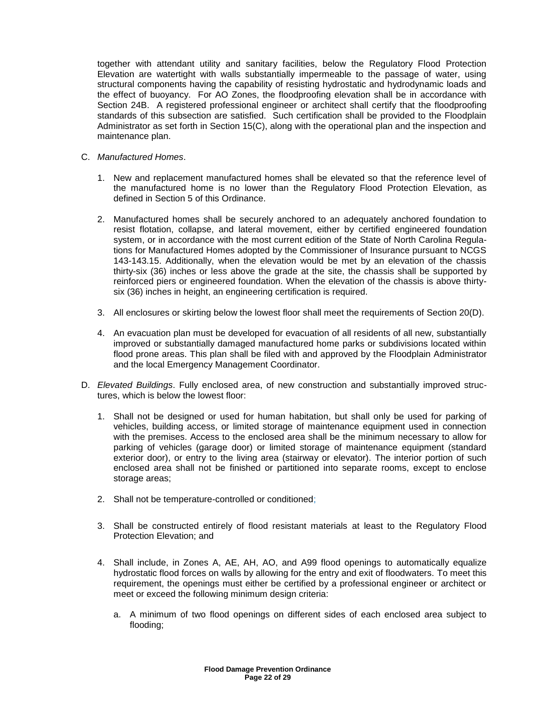together with attendant utility and sanitary facilities, below the Regulatory Flood Protection Elevation are watertight with walls substantially impermeable to the passage of water, using structural components having the capability of resisting hydrostatic and hydrodynamic loads and the effect of buoyancy. For AO Zones, the floodproofing elevation shall be in accordance with Section 24B. A registered professional engineer or architect shall certify that the floodproofing standards of this subsection are satisfied. Such certification shall be provided to the Floodplain Administrator as set forth in Section 15(C), along with the operational plan and the inspection and maintenance plan.

- C. *Manufactured Homes*.
	- 1. New and replacement manufactured homes shall be elevated so that the reference level of the manufactured home is no lower than the Regulatory Flood Protection Elevation, as defined in Section 5 of this Ordinance.
	- 2. Manufactured homes shall be securely anchored to an adequately anchored foundation to resist flotation, collapse, and lateral movement, either by certified engineered foundation system, or in accordance with the most current edition of the State of North Carolina Regulations for Manufactured Homes adopted by the Commissioner of Insurance pursuant to NCGS 143-143.15. Additionally, when the elevation would be met by an elevation of the chassis thirty-six (36) inches or less above the grade at the site, the chassis shall be supported by reinforced piers or engineered foundation. When the elevation of the chassis is above thirtysix (36) inches in height, an engineering certification is required.
	- 3. All enclosures or skirting below the lowest floor shall meet the requirements of Section 20(D).
	- 4. An evacuation plan must be developed for evacuation of all residents of all new, substantially improved or substantially damaged manufactured home parks or subdivisions located within flood prone areas. This plan shall be filed with and approved by the Floodplain Administrator and the local Emergency Management Coordinator.
- D. *Elevated Buildings*. Fully enclosed area, of new construction and substantially improved structures, which is below the lowest floor:
	- 1. Shall not be designed or used for human habitation, but shall only be used for parking of vehicles, building access, or limited storage of maintenance equipment used in connection with the premises. Access to the enclosed area shall be the minimum necessary to allow for parking of vehicles (garage door) or limited storage of maintenance equipment (standard exterior door), or entry to the living area (stairway or elevator). The interior portion of such enclosed area shall not be finished or partitioned into separate rooms, except to enclose storage areas;
	- 2. Shall not be temperature-controlled or conditioned;
	- 3. Shall be constructed entirely of flood resistant materials at least to the Regulatory Flood Protection Elevation; and
	- 4. Shall include, in Zones A, AE, AH, AO, and A99 flood openings to automatically equalize hydrostatic flood forces on walls by allowing for the entry and exit of floodwaters. To meet this requirement, the openings must either be certified by a professional engineer or architect or meet or exceed the following minimum design criteria:
		- a. A minimum of two flood openings on different sides of each enclosed area subject to flooding;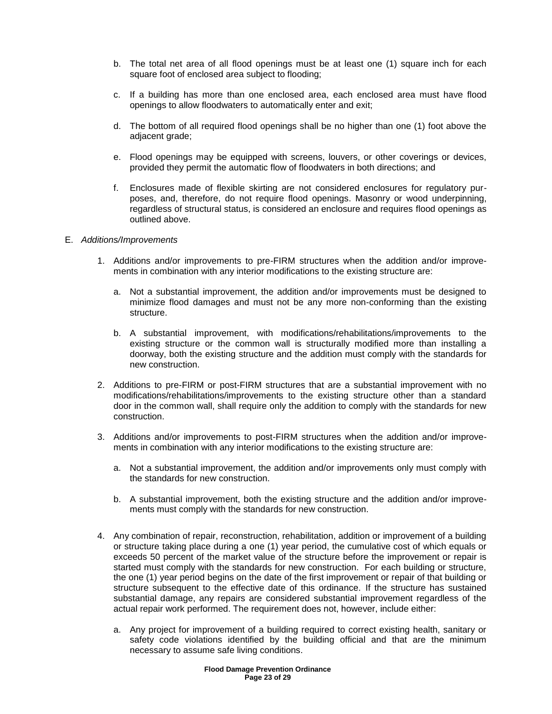- b. The total net area of all flood openings must be at least one (1) square inch for each square foot of enclosed area subject to flooding;
- c. If a building has more than one enclosed area, each enclosed area must have flood openings to allow floodwaters to automatically enter and exit;
- d. The bottom of all required flood openings shall be no higher than one (1) foot above the adjacent grade;
- e. Flood openings may be equipped with screens, louvers, or other coverings or devices, provided they permit the automatic flow of floodwaters in both directions; and
- f. Enclosures made of flexible skirting are not considered enclosures for regulatory purposes, and, therefore, do not require flood openings. Masonry or wood underpinning, regardless of structural status, is considered an enclosure and requires flood openings as outlined above.

#### E. *Additions/Improvements*

- 1. Additions and/or improvements to pre-FIRM structures when the addition and/or improvements in combination with any interior modifications to the existing structure are:
	- a. Not a substantial improvement, the addition and/or improvements must be designed to minimize flood damages and must not be any more non-conforming than the existing structure.
	- b. A substantial improvement, with modifications/rehabilitations/improvements to the existing structure or the common wall is structurally modified more than installing a doorway, both the existing structure and the addition must comply with the standards for new construction.
- 2. Additions to pre-FIRM or post-FIRM structures that are a substantial improvement with no modifications/rehabilitations/improvements to the existing structure other than a standard door in the common wall, shall require only the addition to comply with the standards for new construction.
- 3. Additions and/or improvements to post-FIRM structures when the addition and/or improvements in combination with any interior modifications to the existing structure are:
	- a. Not a substantial improvement, the addition and/or improvements only must comply with the standards for new construction.
	- b. A substantial improvement, both the existing structure and the addition and/or improvements must comply with the standards for new construction.
- 4. Any combination of repair, reconstruction, rehabilitation, addition or improvement of a building or structure taking place during a one (1) year period, the cumulative cost of which equals or exceeds 50 percent of the market value of the structure before the improvement or repair is started must comply with the standards for new construction. For each building or structure, the one (1) year period begins on the date of the first improvement or repair of that building or structure subsequent to the effective date of this ordinance. If the structure has sustained substantial damage, any repairs are considered substantial improvement regardless of the actual repair work performed. The requirement does not, however, include either:
	- a. Any project for improvement of a building required to correct existing health, sanitary or safety code violations identified by the building official and that are the minimum necessary to assume safe living conditions.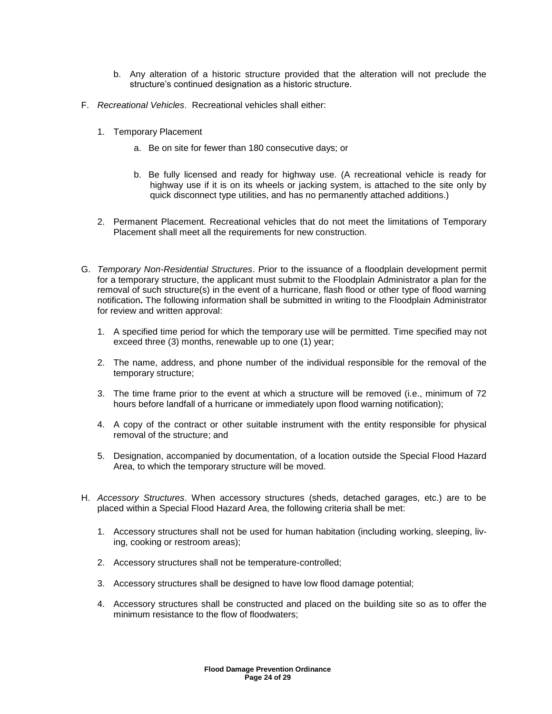- b. Any alteration of a historic structure provided that the alteration will not preclude the structure's continued designation as a historic structure.
- F. *Recreational Vehicles*. Recreational vehicles shall either:
	- 1. Temporary Placement
		- a. Be on site for fewer than 180 consecutive days; or
		- b. Be fully licensed and ready for highway use. (A recreational vehicle is ready for highway use if it is on its wheels or jacking system, is attached to the site only by quick disconnect type utilities, and has no permanently attached additions.)
	- 2. Permanent Placement. Recreational vehicles that do not meet the limitations of Temporary Placement shall meet all the requirements for new construction.
- G. *Temporary Non-Residential Structures*. Prior to the issuance of a floodplain development permit for a temporary structure, the applicant must submit to the Floodplain Administrator a plan for the removal of such structure(s) in the event of a hurricane, flash flood or other type of flood warning notification**.** The following information shall be submitted in writing to the Floodplain Administrator for review and written approval:
	- 1. A specified time period for which the temporary use will be permitted. Time specified may not exceed three (3) months, renewable up to one (1) year;
	- 2. The name, address, and phone number of the individual responsible for the removal of the temporary structure;
	- 3. The time frame prior to the event at which a structure will be removed (i.e., minimum of 72 hours before landfall of a hurricane or immediately upon flood warning notification);
	- 4. A copy of the contract or other suitable instrument with the entity responsible for physical removal of the structure; and
	- 5. Designation, accompanied by documentation, of a location outside the Special Flood Hazard Area, to which the temporary structure will be moved.
- H. *Accessory Structures*. When accessory structures (sheds, detached garages, etc.) are to be placed within a Special Flood Hazard Area, the following criteria shall be met:
	- 1. Accessory structures shall not be used for human habitation (including working, sleeping, living, cooking or restroom areas);
	- 2. Accessory structures shall not be temperature-controlled;
	- 3. Accessory structures shall be designed to have low flood damage potential;
	- 4. Accessory structures shall be constructed and placed on the building site so as to offer the minimum resistance to the flow of floodwaters;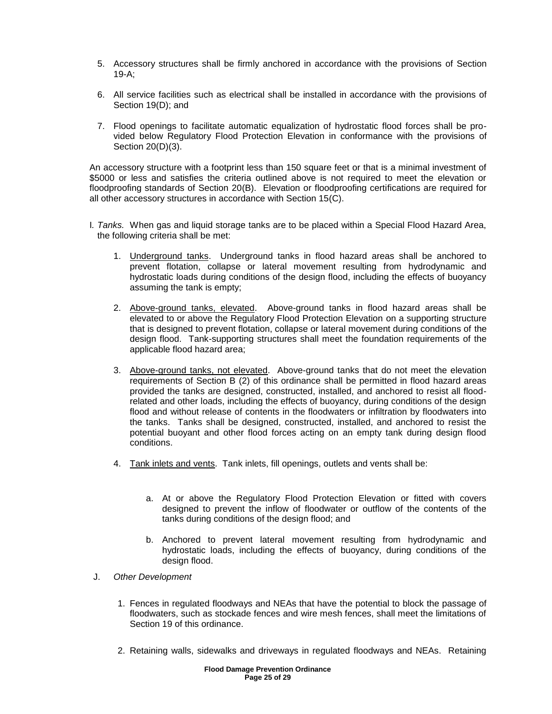- 5. Accessory structures shall be firmly anchored in accordance with the provisions of Section 19-A;
- 6. All service facilities such as electrical shall be installed in accordance with the provisions of Section 19(D); and
- 7. Flood openings to facilitate automatic equalization of hydrostatic flood forces shall be provided below Regulatory Flood Protection Elevation in conformance with the provisions of Section 20(D)(3).

An accessory structure with a footprint less than 150 square feet or that is a minimal investment of \$5000 or less and satisfies the criteria outlined above is not required to meet the elevation or floodproofing standards of Section 20(B). Elevation or floodproofing certifications are required for all other accessory structures in accordance with Section 15(C).

- I*. Tanks.* When gas and liquid storage tanks are to be placed within a Special Flood Hazard Area, the following criteria shall be met:
	- 1. Underground tanks. Underground tanks in flood hazard areas shall be anchored to prevent flotation, collapse or lateral movement resulting from hydrodynamic and hydrostatic loads during conditions of the design flood, including the effects of buoyancy assuming the tank is empty;
	- 2. Above-ground tanks, elevated. Above-ground tanks in flood hazard areas shall be elevated to or above the Regulatory Flood Protection Elevation on a supporting structure that is designed to prevent flotation, collapse or lateral movement during conditions of the design flood. Tank-supporting structures shall meet the foundation requirements of the applicable flood hazard area;
	- 3. Above-ground tanks, not elevated. Above-ground tanks that do not meet the elevation requirements of Section B (2) of this ordinance shall be permitted in flood hazard areas provided the tanks are designed, constructed, installed, and anchored to resist all floodrelated and other loads, including the effects of buoyancy, during conditions of the design flood and without release of contents in the floodwaters or infiltration by floodwaters into the tanks. Tanks shall be designed, constructed, installed, and anchored to resist the potential buoyant and other flood forces acting on an empty tank during design flood conditions.
	- 4. Tank inlets and vents. Tank inlets, fill openings, outlets and vents shall be:
		- a. At or above the Regulatory Flood Protection Elevation or fitted with covers designed to prevent the inflow of floodwater or outflow of the contents of the tanks during conditions of the design flood; and
		- b. Anchored to prevent lateral movement resulting from hydrodynamic and hydrostatic loads, including the effects of buoyancy, during conditions of the design flood.
- J. *Other Development*
	- 1. Fences in regulated floodways and NEAs that have the potential to block the passage of floodwaters, such as stockade fences and wire mesh fences, shall meet the limitations of Section 19 of this ordinance.
	- 2. Retaining walls, sidewalks and driveways in regulated floodways and NEAs. Retaining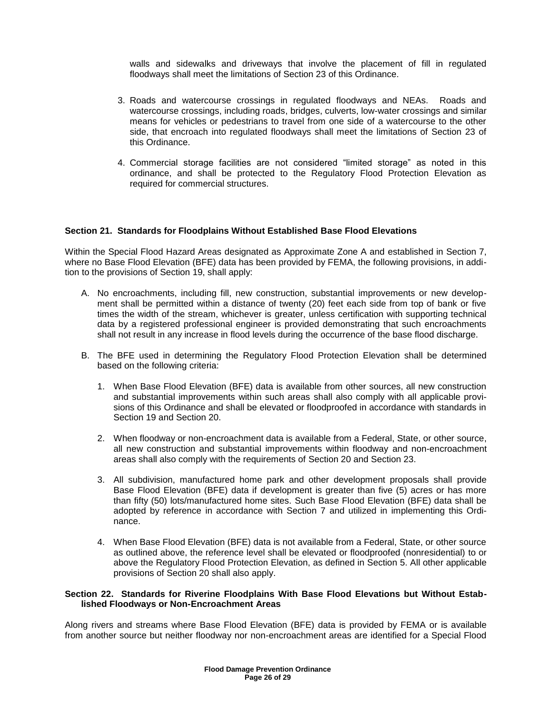walls and sidewalks and driveways that involve the placement of fill in regulated floodways shall meet the limitations of Section 23 of this Ordinance.

- 3. Roads and watercourse crossings in regulated floodways and NEAs. Roads and watercourse crossings, including roads, bridges, culverts, low-water crossings and similar means for vehicles or pedestrians to travel from one side of a watercourse to the other side, that encroach into regulated floodways shall meet the limitations of Section 23 of this Ordinance.
- 4. Commercial storage facilities are not considered "limited storage" as noted in this ordinance, and shall be protected to the Regulatory Flood Protection Elevation as required for commercial structures.

#### **Section 21. Standards for Floodplains Without Established Base Flood Elevations**

Within the Special Flood Hazard Areas designated as Approximate Zone A and established in Section 7, where no Base Flood Elevation (BFE) data has been provided by FEMA, the following provisions, in addition to the provisions of Section 19, shall apply:

- A. No encroachments, including fill, new construction, substantial improvements or new development shall be permitted within a distance of twenty (20) feet each side from top of bank or five times the width of the stream, whichever is greater, unless certification with supporting technical data by a registered professional engineer is provided demonstrating that such encroachments shall not result in any increase in flood levels during the occurrence of the base flood discharge.
- B. The BFE used in determining the Regulatory Flood Protection Elevation shall be determined based on the following criteria:
	- 1. When Base Flood Elevation (BFE) data is available from other sources, all new construction and substantial improvements within such areas shall also comply with all applicable provisions of this Ordinance and shall be elevated or floodproofed in accordance with standards in Section 19 and Section 20.
	- 2. When floodway or non-encroachment data is available from a Federal, State, or other source, all new construction and substantial improvements within floodway and non-encroachment areas shall also comply with the requirements of Section 20 and Section 23.
	- 3. All subdivision, manufactured home park and other development proposals shall provide Base Flood Elevation (BFE) data if development is greater than five (5) acres or has more than fifty (50) lots/manufactured home sites. Such Base Flood Elevation (BFE) data shall be adopted by reference in accordance with Section 7 and utilized in implementing this Ordinance.
	- 4. When Base Flood Elevation (BFE) data is not available from a Federal, State, or other source as outlined above, the reference level shall be elevated or floodproofed (nonresidential) to or above the Regulatory Flood Protection Elevation, as defined in Section 5. All other applicable provisions of Section 20 shall also apply.

#### **Section 22. Standards for Riverine Floodplains With Base Flood Elevations but Without Established Floodways or Non-Encroachment Areas**

Along rivers and streams where Base Flood Elevation (BFE) data is provided by FEMA or is available from another source but neither floodway nor non-encroachment areas are identified for a Special Flood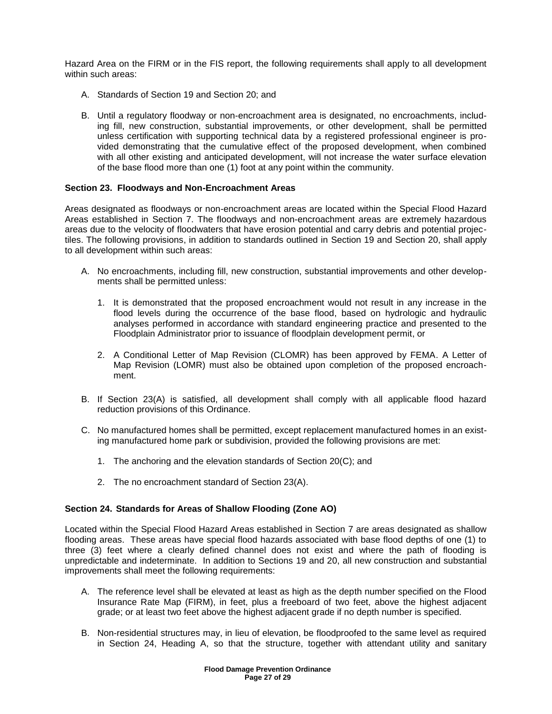Hazard Area on the FIRM or in the FIS report, the following requirements shall apply to all development within such areas:

- A. Standards of Section 19 and Section 20; and
- B. Until a regulatory floodway or non-encroachment area is designated, no encroachments, including fill, new construction, substantial improvements, or other development, shall be permitted unless certification with supporting technical data by a registered professional engineer is provided demonstrating that the cumulative effect of the proposed development, when combined with all other existing and anticipated development, will not increase the water surface elevation of the base flood more than one (1) foot at any point within the community.

# **Section 23. Floodways and Non-Encroachment Areas**

Areas designated as floodways or non-encroachment areas are located within the Special Flood Hazard Areas established in Section 7. The floodways and non-encroachment areas are extremely hazardous areas due to the velocity of floodwaters that have erosion potential and carry debris and potential projectiles. The following provisions, in addition to standards outlined in Section 19 and Section 20, shall apply to all development within such areas:

- A. No encroachments, including fill, new construction, substantial improvements and other developments shall be permitted unless:
	- 1. It is demonstrated that the proposed encroachment would not result in any increase in the flood levels during the occurrence of the base flood, based on hydrologic and hydraulic analyses performed in accordance with standard engineering practice and presented to the Floodplain Administrator prior to issuance of floodplain development permit, or
	- 2. A Conditional Letter of Map Revision (CLOMR) has been approved by FEMA. A Letter of Map Revision (LOMR) must also be obtained upon completion of the proposed encroachment.
- B. If Section 23(A) is satisfied, all development shall comply with all applicable flood hazard reduction provisions of this Ordinance.
- C. No manufactured homes shall be permitted, except replacement manufactured homes in an existing manufactured home park or subdivision, provided the following provisions are met:
	- 1. The anchoring and the elevation standards of Section 20(C); and
	- 2. The no encroachment standard of Section 23(A).

# **Section 24. Standards for Areas of Shallow Flooding (Zone AO)**

Located within the Special Flood Hazard Areas established in Section 7 are areas designated as shallow flooding areas. These areas have special flood hazards associated with base flood depths of one (1) to three (3) feet where a clearly defined channel does not exist and where the path of flooding is unpredictable and indeterminate. In addition to Sections 19 and 20, all new construction and substantial improvements shall meet the following requirements:

- A. The reference level shall be elevated at least as high as the depth number specified on the Flood Insurance Rate Map (FIRM), in feet, plus a freeboard of two feet, above the highest adjacent grade; or at least two feet above the highest adjacent grade if no depth number is specified.
- B. Non-residential structures may, in lieu of elevation, be floodproofed to the same level as required in Section 24, Heading A, so that the structure, together with attendant utility and sanitary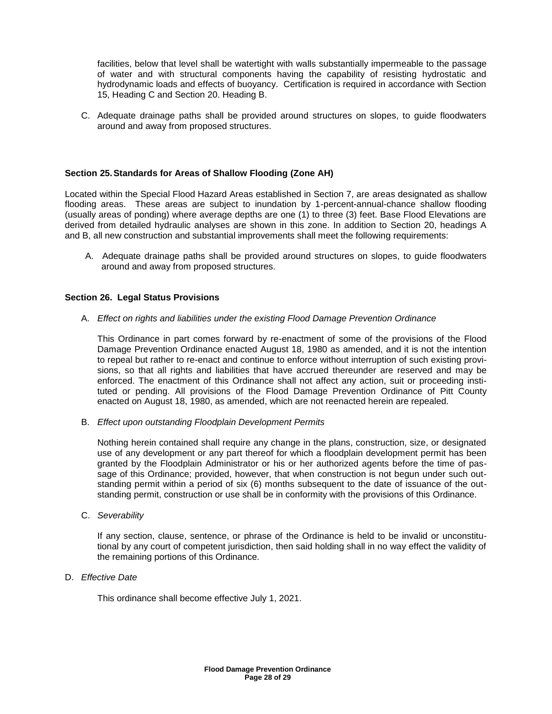facilities, below that level shall be watertight with walls substantially impermeable to the passage of water and with structural components having the capability of resisting hydrostatic and hydrodynamic loads and effects of buoyancy. Certification is required in accordance with Section 15, Heading C and Section 20. Heading B.

C. Adequate drainage paths shall be provided around structures on slopes, to guide floodwaters around and away from proposed structures.

# **Section 25.Standards for Areas of Shallow Flooding (Zone AH)**

Located within the Special Flood Hazard Areas established in Section 7, are areas designated as shallow flooding areas. These areas are subject to inundation by 1-percent-annual-chance shallow flooding (usually areas of ponding) where average depths are one (1) to three (3) feet. Base Flood Elevations are derived from detailed hydraulic analyses are shown in this zone. In addition to Section 20, headings A and B, all new construction and substantial improvements shall meet the following requirements:

A. Adequate drainage paths shall be provided around structures on slopes, to guide floodwaters around and away from proposed structures.

# **Section 26. Legal Status Provisions**

A. *Effect on rights and liabilities under the existing Flood Damage Prevention Ordinance*

This Ordinance in part comes forward by re-enactment of some of the provisions of the Flood Damage Prevention Ordinance enacted August 18, 1980 as amended, and it is not the intention to repeal but rather to re-enact and continue to enforce without interruption of such existing provisions, so that all rights and liabilities that have accrued thereunder are reserved and may be enforced. The enactment of this Ordinance shall not affect any action, suit or proceeding instituted or pending. All provisions of the Flood Damage Prevention Ordinance of Pitt County enacted on August 18, 1980, as amended, which are not reenacted herein are repealed.

B. *Effect upon outstanding Floodplain Development Permits*

Nothing herein contained shall require any change in the plans, construction, size, or designated use of any development or any part thereof for which a floodplain development permit has been granted by the Floodplain Administrator or his or her authorized agents before the time of passage of this Ordinance; provided, however, that when construction is not begun under such outstanding permit within a period of six (6) months subsequent to the date of issuance of the outstanding permit, construction or use shall be in conformity with the provisions of this Ordinance.

C. *Severability*

If any section, clause, sentence, or phrase of the Ordinance is held to be invalid or unconstitutional by any court of competent jurisdiction, then said holding shall in no way effect the validity of the remaining portions of this Ordinance.

D. *Effective Date*

This ordinance shall become effective July 1, 2021.